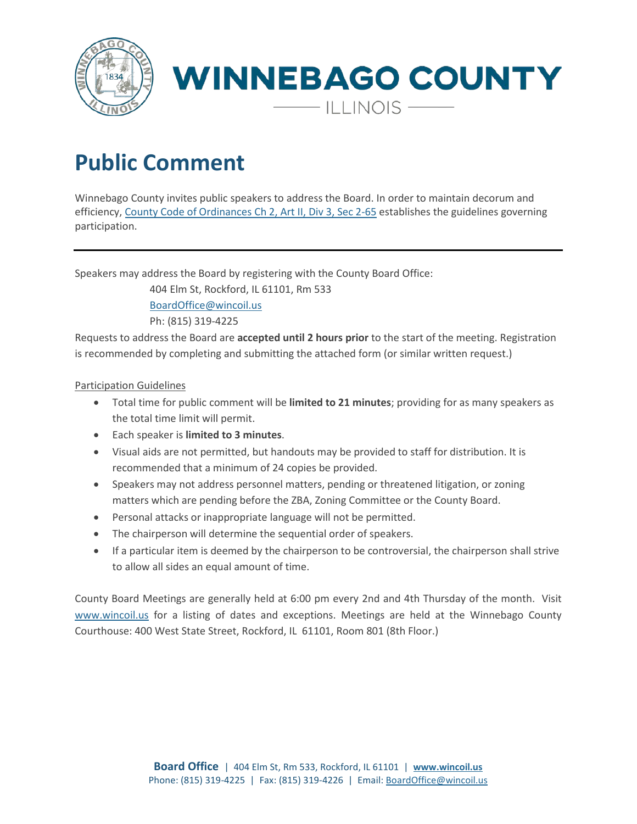



## **Public Comment**

Winnebago County invites public speakers to address the Board. In order to maintain decorum and efficiency, [County Code of Ordinances Ch 2, Art II, Div 3, Sec 2-65](https://library.municode.com/il/winnebago_county/codes/code_of_ordinances?nodeId=COCO_CH2AD_ARTIICOBO_DIV3RUOR_S2-65LIDE) establishes the guidelines governing participation.

Speakers may address the Board by registering with the County Board Office:

404 Elm St, Rockford, IL 61101, Rm 533

[BoardOffice@wincoil.us](mailto:BoardOffice@wincoil.us)

Ph: (815) 319-4225

Requests to address the Board are **accepted until 2 hours prior** to the start of the meeting. Registration is recommended by completing and submitting the attached form (or similar written request.)

## Participation Guidelines

- Total time for public comment will be **limited to 21 minutes**; providing for as many speakers as the total time limit will permit.
- Each speaker is **limited to 3 minutes**.
- Visual aids are not permitted, but handouts may be provided to staff for distribution. It is recommended that a minimum of 24 copies be provided.
- Speakers may not address personnel matters, pending or threatened litigation, or zoning matters which are pending before the ZBA, Zoning Committee or the County Board.
- Personal attacks or inappropriate language will not be permitted.
- The chairperson will determine the sequential order of speakers.
- If a particular item is deemed by the chairperson to be controversial, the chairperson shall strive to allow all sides an equal amount of time.

County Board Meetings are generally held at 6:00 pm every 2nd and 4th Thursday of the month. Visit [www.wincoil.us](http://www.wincoil.us/) for a listing of dates and exceptions. Meetings are held at the Winnebago County Courthouse: 400 West State Street, Rockford, IL 61101, Room 801 (8th Floor.)